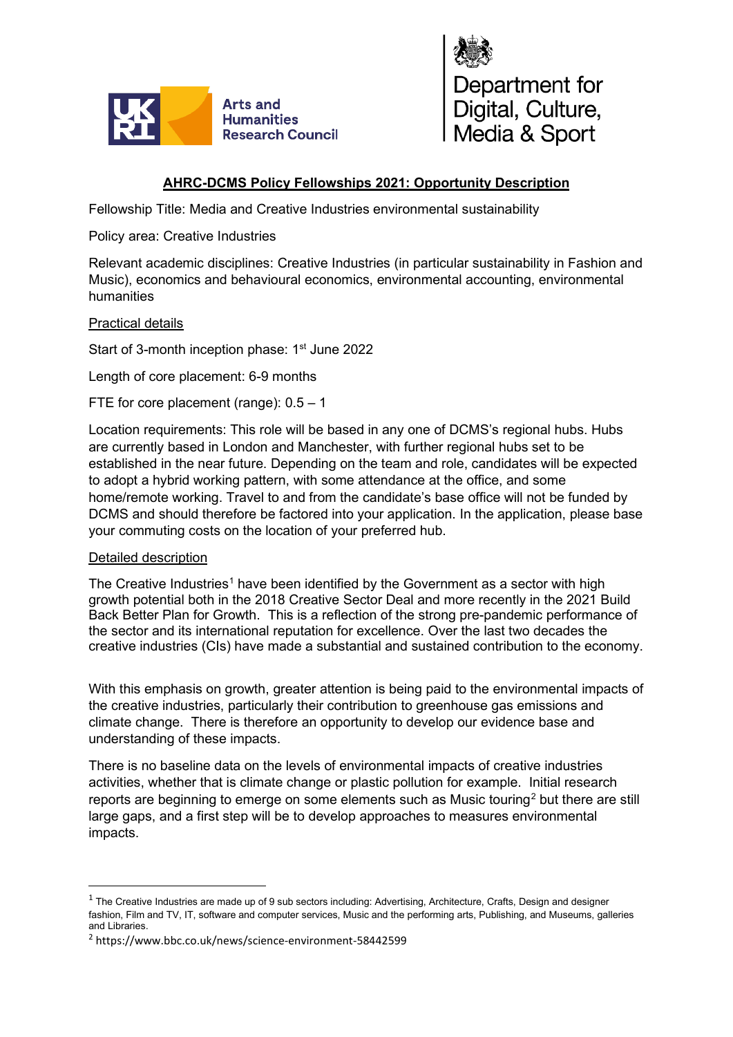



## **AHRC-DCMS Policy Fellowships 2021: Opportunity Description**

Fellowship Title: Media and Creative Industries environmental sustainability

Policy area: Creative Industries

Relevant academic disciplines: Creative Industries (in particular sustainability in Fashion and Music), economics and behavioural economics, environmental accounting, environmental humanities

## Practical details

Start of 3-month inception phase: 1<sup>st</sup> June 2022

Length of core placement: 6-9 months

FTE for core placement (range): 0.5 – 1

Location requirements: This role will be based in any one of DCMS's regional hubs. Hubs are currently based in London and Manchester, with further regional hubs set to be established in the near future. Depending on the team and role, candidates will be expected to adopt a hybrid working pattern, with some attendance at the office, and some home/remote working. Travel to and from the candidate's base office will not be funded by DCMS and should therefore be factored into your application. In the application, please base your commuting costs on the location of your preferred hub.

## Detailed description

The Creative Industries<sup>[1](#page-0-0)</sup> have been identified by the Government as a sector with high growth potential both in the 2018 Creative Sector Deal and more recently in the 2021 Build Back Better Plan for Growth. This is a reflection of the strong pre-pandemic performance of the sector and its international reputation for excellence. Over the last two decades the creative industries (CIs) have made a substantial and sustained contribution to the economy.

With this emphasis on growth, greater attention is being paid to the environmental impacts of the creative industries, particularly their contribution to greenhouse gas emissions and climate change. There is therefore an opportunity to develop our evidence base and understanding of these impacts.

There is no baseline data on the levels of environmental impacts of creative industries activities, whether that is climate change or plastic pollution for example. Initial research reports are beginning to emerge on some elements such as Music touring<sup>[2](#page-0-1)</sup> but there are still large gaps, and a first step will be to develop approaches to measures environmental impacts.

<span id="page-0-0"></span> $1$  The Creative Industries are made up of 9 sub sectors including: Advertising, Architecture, Crafts, Design and designer fashion, Film and TV, IT, software and computer services, Music and the performing arts, Publishing, and Museums, galleries and Libraries.

<span id="page-0-1"></span><sup>2</sup> https://www.bbc.co.uk/news/science-environment-58442599